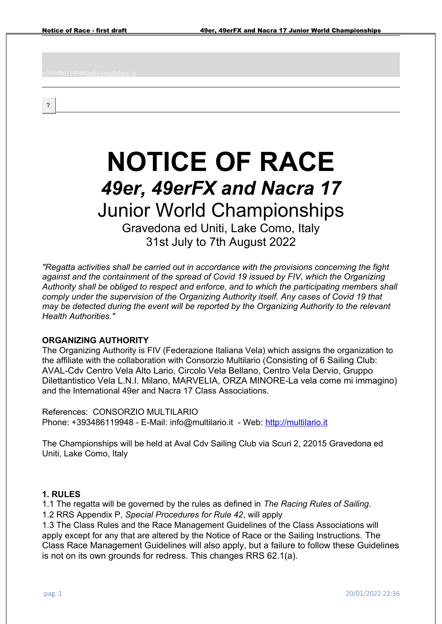?

# **NOTICE OF RACE** *49er, 49erFX and Nacra 17* Junior World Championships

Gravedona ed Uniti, Lake Como, Italy 31st July to 7th August 2022

*"Regatta activities shall be carried out in accordance with the provisions concerning the fight against and the containment of the spread of Covid 19 issued by FIV, which the Organizing Authority shall be obliged to respect and enforce, and to which the participating members shall comply under the supervision of the Organizing Authority itself. Any cases of Covid 19 that may be detected during the event will be reported by the Organizing Authority to the relevant Health Authorities."*

#### **ORGANIZING AUTHORITY**

The Organizing Authority is FIV (Federazione Italiana Vela) which assigns the organization to the affiliate with the collaboration with Consorzio Multilario (Consisting of 6 Sailing Club: AVAL-Cdv Centro Vela Alto Lario, Circolo Vela Bellano, Centro Vela Dervio, Gruppo Dilettantistico Vela L.N.I. Milano, MARVELIA, ORZA MINORE-La vela come mi immagino) and the International 49er and Nacra 17 Class Associations.

References: CONSORZIO MULTILARIO Phone: +393486119948 - E-Mail: info@multilario.it - Web: [http://multilario.it](http://multilario.it/)

The Championships will be held at Aval Cdv Sailing Club via Scuri 2, 22015 Gravedona ed Uniti, Lake Como, Italy

#### **1. RULES**

1.1 The regatta will be governed by the rules as defined in *The Racing Rules of Sailing*. 1.2 RRS Appendix P, *Special Procedures for Rule 42*, will apply

1.3 The Class Rules and the Race Management Guidelines of the Class Associations will apply except for any that are altered by the Notice of Race or the Sailing Instructions. The Class Race Management Guidelines will also apply, but a failure to follow these Guidelines is not on its own grounds for redress. This changes RRS 62.1(a).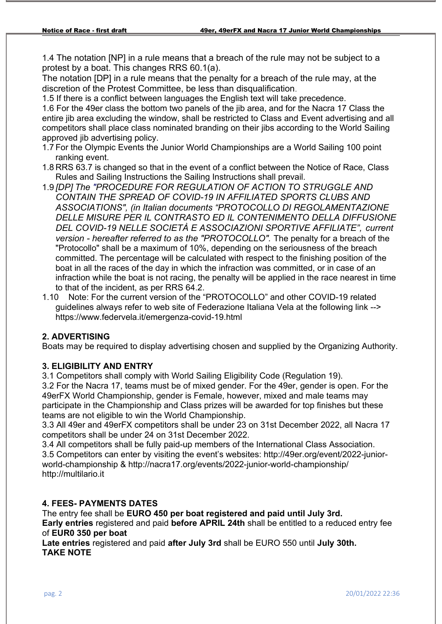1.4 The notation [NP] in a rule means that a breach of the rule may not be subject to a protest by a boat. This changes RRS 60.1(a).

The notation [DP] in a rule means that the penalty for a breach of the rule may, at the discretion of the Protest Committee, be less than disqualification.

1.5 If there is a conflict between languages the English text will take precedence. 1.6 For the 49er class the bottom two panels of the jib area, and for the Nacra 17 Class the entire jib area excluding the window, shall be restricted to Class and Event advertising and all

competitors shall place class nominated branding on their jibs according to the World Sailing approved jib advertising policy.

- 1.7 For the Olympic Events the Junior World Championships are a World Sailing 100 point ranking event.
- 1.8 RRS 63.7 is changed so that in the event of a conflict between the Notice of Race, Class Rules and Sailing Instructions the Sailing Instructions shall prevail.
- 1.9 *[DP] The "PROCEDURE FOR REGULATION OF ACTION TO STRUGGLE AND CONTAIN THE SPREAD OF COVID-19 IN AFFILIATED SPORTS CLUBS AND ASSOCIATIONS", (in Italian documents "PROTOCOLLO DI REGOLAMENTAZIONE DELLE MISURE PER IL CONTRASTO ED IL CONTENIMENTO DELLA DIFFUSIONE DEL COVID-19 NELLE SOCIETÀ E ASSOCIAZIONI SPORTIVE AFFILIATE", current version - hereafter referred to as the "PROTOCOLLO".* The penalty for a breach of the "Protocollo" shall be a maximum of 10%, depending on the seriousness of the breach committed. The percentage will be calculated with respect to the finishing position of the boat in all the races of the day in which the infraction was committed, or in case of an infraction while the boat is not racing, the penalty will be applied in the race nearest in time to that of the incident, as per RRS 64.2.
- 1.10 Note: For the current version of the "PROTOCOLLO" and other COVID-19 related guidelines always refer to web site of Federazione Italiana Vela at the following link --> https://www.federvela.it/emergenza-covid-19.html

# **2. ADVERTISING**

Boats may be required to display advertising chosen and supplied by the Organizing Authority.

## **3. ELIGIBILITY AND ENTRY**

3.1 Competitors shall comply with World Sailing Eligibility Code (Regulation 19).

3.2 For the Nacra 17, teams must be of mixed gender. For the 49er, gender is open. For the 49erFX World Championship, gender is Female, however, mixed and male teams may participate in the Championship and Class prizes will be awarded for top finishes but these teams are not eligible to win the World Championship.

3.3 All 49er and 49erFX competitors shall be under 23 on 31st December 2022, all Nacra 17 competitors shall be under 24 on 31st December 2022.

3.4 All competitors shall be fully paid-up members of the International Class Association. 3.5 Competitors can enter by visiting the event's websites: http://49er.org/event/2022-juniorworld-championship & http://nacra17.org/events/2022-junior-world-championship/ http://multilario.it

## **4. FEES- PAYMENTS DATES**

The entry fee shall be **EURO 450 per boat registered and paid until July 3rd. Early entries** registered and paid **before APRIL 24th** shall be entitled to a reduced entry fee of **EUR0 350 per boat** 

**Late entries** registered and paid **after July 3rd** shall be EURO 550 until **July 30th. TAKE NOTE**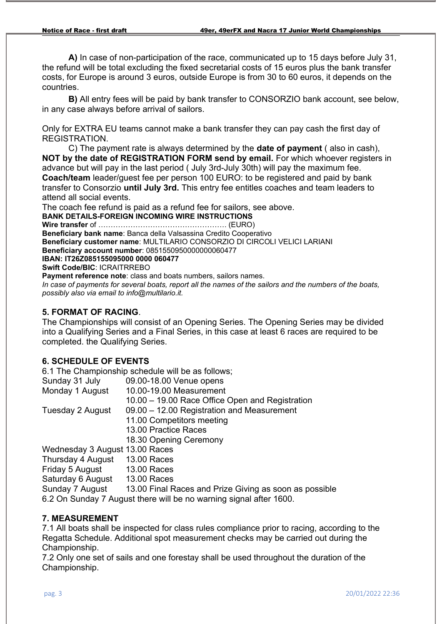**A)** In case of non-participation of the race, communicated up to 15 days before July 31, the refund will be total excluding the fixed secretarial costs of 15 euros plus the bank transfer costs, for Europe is around 3 euros, outside Europe is from 30 to 60 euros, it depends on the countries.

**B)** All entry fees will be paid by bank transfer to CONSORZIO bank account, see below, in any case always before arrival of sailors.

Only for EXTRA EU teams cannot make a bank transfer they can pay cash the first day of REGISTRATION.

C) The payment rate is always determined by the **date of payment** ( also in cash), **NOT by the date of REGISTRATION FORM send by email.** For which whoever registers in advance but will pay in the last period ( July 3rd-July 30th) will pay the maximum fee. **Coach/team** leader/guest fee per person 100 EURO: to be registered and paid by bank transfer to Consorzio **until July 3rd.** This entry fee entitles coaches and team leaders to attend all social events.

The coach fee refund is paid as a refund fee for sailors, see above. **BANK DETAILS-FOREIGN INCOMING WIRE INSTRUCTIONS Wire transfer** of ……………………………………………. (EURO) **Beneficiary bank name**: Banca della Valsassina Credito Cooperativo **Beneficiary customer name**: MULTILARIO CONSORZIO DI CIRCOLI VELICI LARIANI **Beneficiary account number**: 0851550950000000060477 **IBAN: IT26Z085155095000 0000 060477 Swift Code/BIC**: ICRAITRREBO **Payment reference note:** class and boats numbers, sailors names.

*In case of payments for several boats, report all the names of the sailors and the numbers of the boats, possibly also via email to info@multilario.it.* 

## **5. FORMAT OF RACING**.

The Championships will consist of an Opening Series. The Opening Series may be divided into a Qualifying Series and a Final Series, in this case at least 6 races are required to be completed. the Qualifying Series.

## **6. SCHEDULE OF EVENTS**

6.1 The Championship schedule will be as follows;

| Sunday 31 July                                                     | 09.00-18.00 Venue opens                                |
|--------------------------------------------------------------------|--------------------------------------------------------|
| Monday 1 August                                                    | 10.00-19.00 Measurement                                |
|                                                                    | 10.00 - 19.00 Race Office Open and Registration        |
| Tuesday 2 August                                                   | 09.00 - 12.00 Registration and Measurement             |
|                                                                    | 11.00 Competitors meeting                              |
|                                                                    | 13.00 Practice Races                                   |
|                                                                    | 18.30 Opening Ceremony                                 |
| Wednesday 3 August 13.00 Races                                     |                                                        |
| Thursday 4 August                                                  | <b>13.00 Races</b>                                     |
| Friday 5 August                                                    | <b>13.00 Races</b>                                     |
| Saturday 6 August                                                  | <b>13.00 Races</b>                                     |
| Sunday 7 August                                                    | 13.00 Final Races and Prize Giving as soon as possible |
| 6.2 On Sunday 7 August there will be no warning signal after 1600. |                                                        |

#### **7. MEASUREMENT**

7.1 All boats shall be inspected for class rules compliance prior to racing, according to the Regatta Schedule. Additional spot measurement checks may be carried out during the Championship.

7.2 Only one set of sails and one forestay shall be used throughout the duration of the Championship.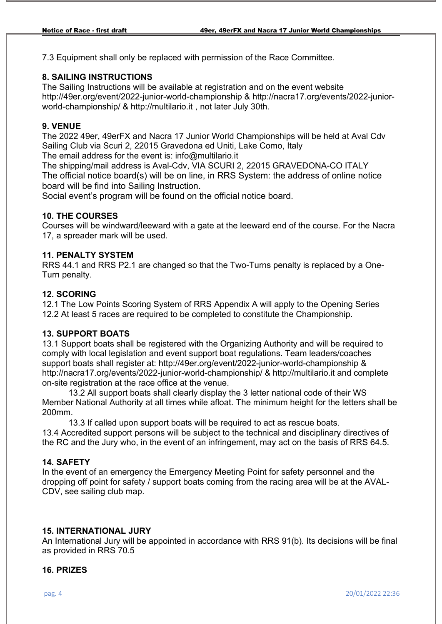7.3 Equipment shall only be replaced with permission of the Race Committee.

#### **8. SAILING INSTRUCTIONS**

The Sailing Instructions will be available at registration and on the event website http://49er.org/event/2022-junior-world-championship & http://nacra17.org/events/2022-juniorworld-championship/ & http://multilario.it , not later July 30th.

#### **9. VENUE**

The 2022 49er, 49erFX and Nacra 17 Junior World Championships will be held at Aval Cdv Sailing Club via Scuri 2, 22015 Gravedona ed Uniti, Lake Como, Italy

The email address for the event is: info@multilario.it

The shipping/mail address is Aval-Cdv, VIA SCURI 2, 22015 GRAVEDONA-CO ITALY The official notice board(s) will be on line, in RRS System: the address of online notice board will be find into Sailing Instruction.

Social event's program will be found on the official notice board.

#### **10. THE COURSES**

Courses will be windward/leeward with a gate at the leeward end of the course. For the Nacra 17, a spreader mark will be used.

## **11. PENALTY SYSTEM**

RRS 44.1 and RRS P2.1 are changed so that the Two-Turns penalty is replaced by a One-Turn penalty.

#### **12. SCORING**

12.1 The Low Points Scoring System of RRS Appendix A will apply to the Opening Series 12.2 At least 5 races are required to be completed to constitute the Championship.

#### **13. SUPPORT BOATS**

13.1 Support boats shall be registered with the Organizing Authority and will be required to comply with local legislation and event support boat regulations. Team leaders/coaches support boats shall register at: http://49er.org/event/2022-junior-world-championship & http://nacra17.org/events/2022-junior-world-championship/ & http://multilario.it and complete on-site registration at the race office at the venue.

13.2 All support boats shall clearly display the 3 letter national code of their WS Member National Authority at all times while afloat. The minimum height for the letters shall be 200mm.

13.3 If called upon support boats will be required to act as rescue boats. 13.4 Accredited support persons will be subject to the technical and disciplinary directives of the RC and the Jury who, in the event of an infringement, may act on the basis of RRS 64.5.

## **14. SAFETY**

In the event of an emergency the Emergency Meeting Point for safety personnel and the dropping off point for safety / support boats coming from the racing area will be at the AVAL-CDV, see sailing club map.

#### **15. INTERNATIONAL JURY**

An International Jury will be appointed in accordance with RRS 91(b). Its decisions will be final as provided in RRS 70.5

#### **16. PRIZES**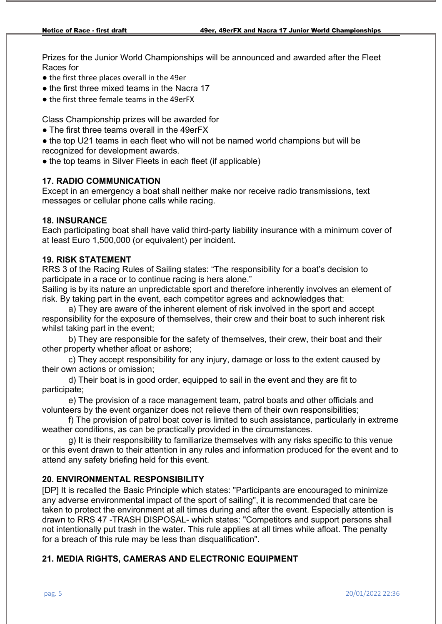Prizes for the Junior World Championships will be announced and awarded after the Fleet Races for

- the first three places overall in the 49er
- the first three mixed teams in the Nacra 17
- the first three female teams in the 49erFX

Class Championship prizes will be awarded for

● The first three teams overall in the 49erFX

● the top U21 teams in each fleet who will not be named world champions but will be recognized for development awards.

• the top teams in Silver Fleets in each fleet (if applicable)

# **17. RADIO COMMUNICATION**

Except in an emergency a boat shall neither make nor receive radio transmissions, text messages or cellular phone calls while racing.

## **18. INSURANCE**

Each participating boat shall have valid third-party liability insurance with a minimum cover of at least Euro 1,500,000 (or equivalent) per incident.

# **19. RISK STATEMENT**

RRS 3 of the Racing Rules of Sailing states: "The responsibility for a boat's decision to participate in a race or to continue racing is hers alone."

Sailing is by its nature an unpredictable sport and therefore inherently involves an element of risk. By taking part in the event, each competitor agrees and acknowledges that:

a) They are aware of the inherent element of risk involved in the sport and accept responsibility for the exposure of themselves, their crew and their boat to such inherent risk whilst taking part in the event;

b) They are responsible for the safety of themselves, their crew, their boat and their other property whether afloat or ashore;

c) They accept responsibility for any injury, damage or loss to the extent caused by their own actions or omission;

d) Their boat is in good order, equipped to sail in the event and they are fit to participate;

e) The provision of a race management team, patrol boats and other officials and volunteers by the event organizer does not relieve them of their own responsibilities;

f) The provision of patrol boat cover is limited to such assistance, particularly in extreme weather conditions, as can be practically provided in the circumstances.

g) It is their responsibility to familiarize themselves with any risks specific to this venue or this event drawn to their attention in any rules and information produced for the event and to attend any safety briefing held for this event.

# **20. ENVIRONMENTAL RESPONSIBILITY**

[DP] It is recalled the Basic Principle which states: "Participants are encouraged to minimize any adverse environmental impact of the sport of sailing", it is recommended that care be taken to protect the environment at all times during and after the event. Especially attention is drawn to RRS 47 -TRASH DISPOSAL- which states: "Competitors and support persons shall not intentionally put trash in the water. This rule applies at all times while afloat. The penalty for a breach of this rule may be less than disqualification".

# **21. MEDIA RIGHTS, CAMERAS AND ELECTRONIC EQUIPMENT**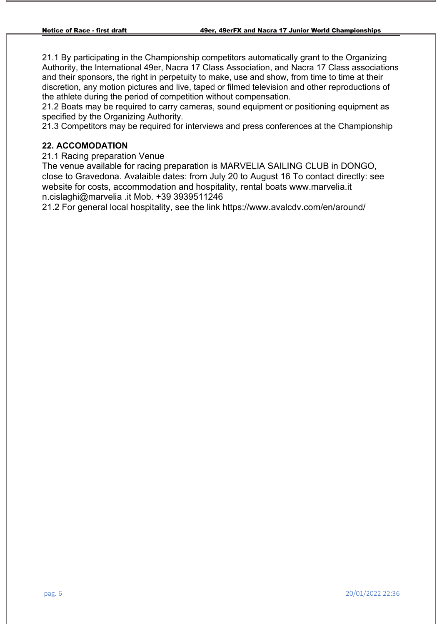21.1 By participating in the Championship competitors automatically grant to the Organizing Authority, the International 49er, Nacra 17 Class Association, and Nacra 17 Class associations and their sponsors, the right in perpetuity to make, use and show, from time to time at their discretion, any motion pictures and live, taped or filmed television and other reproductions of the athlete during the period of competition without compensation.

21.2 Boats may be required to carry cameras, sound equipment or positioning equipment as specified by the Organizing Authority.

21.3 Competitors may be required for interviews and press conferences at the Championship

#### **22. ACCOMODATION**

21.1 Racing preparation Venue

The venue available for racing preparation is MARVELIA SAILING CLUB in DONGO, close to Gravedona. Avalaible dates: from July 20 to August 16 To contact directly: see website for costs, accommodation and hospitality, rental boats www.marvelia.it n.cislaghi@marvelia .it Mob. +39 3939511246

21.2 For general local hospitality, see the link https://www.avalcdv.com/en/around/